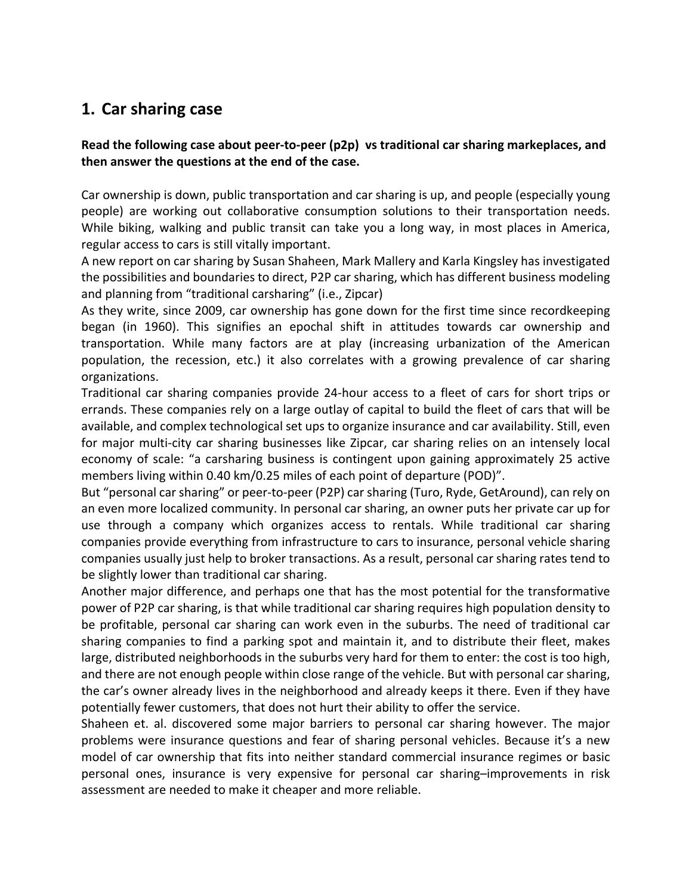## **1. Car sharing case**

## **Read the following case about peer-to-peer (p2p) vs traditional car sharing markeplaces, and then answer the questions at the end of the case.**

Car ownership is down, public transportation and car sharing is up, and people (especially young people) are working out collaborative consumption solutions to their transportation needs. While biking, walking and public transit can take you a long way, in most places in America, regular access to cars is still vitally important.

A new report on car sharing by Susan Shaheen, Mark Mallery and Karla Kingsley has investigated the possibilities and boundaries to direct, P2P car sharing, which has different business modeling and planning from "traditional carsharing" (i.e., Zipcar)

As they write, since 2009, car ownership has gone down for the first time since recordkeeping began (in 1960). This signifies an epochal shift in attitudes towards car ownership and transportation. While many factors are at play (increasing urbanization of the American population, the recession, etc.) it also correlates with a growing prevalence of car sharing organizations.

Traditional car sharing companies provide 24-hour access to a fleet of cars for short trips or errands. These companies rely on a large outlay of capital to build the fleet of cars that will be available, and complex technological set ups to organize insurance and car availability. Still, even for major multi-city car sharing businesses like Zipcar, car sharing relies on an intensely local economy of scale: "a carsharing business is contingent upon gaining approximately 25 active members living within 0.40 km/0.25 miles of each point of departure (POD)".

But "personal car sharing" or peer-to-peer (P2P) car sharing (Turo, Ryde, GetAround), can rely on an even more localized community. In personal car sharing, an owner puts her private car up for use through a company which organizes access to rentals. While traditional car sharing companies provide everything from infrastructure to cars to insurance, personal vehicle sharing companies usually just help to broker transactions. As a result, personal car sharing rates tend to be slightly lower than traditional car sharing.

Another major difference, and perhaps one that has the most potential for the transformative power of P2P car sharing, is that while traditional car sharing requires high population density to be profitable, personal car sharing can work even in the suburbs. The need of traditional car sharing companies to find a parking spot and maintain it, and to distribute their fleet, makes large, distributed neighborhoods in the suburbs very hard for them to enter: the cost is too high, and there are not enough people within close range of the vehicle. But with personal car sharing, the car's owner already lives in the neighborhood and already keeps it there. Even if they have potentially fewer customers, that does not hurt their ability to offer the service.

Shaheen et. al. discovered some major barriers to personal car sharing however. The major problems were insurance questions and fear of sharing personal vehicles. Because it's a new model of car ownership that fits into neither standard commercial insurance regimes or basic personal ones, insurance is very expensive for personal car sharing–improvements in risk assessment are needed to make it cheaper and more reliable.